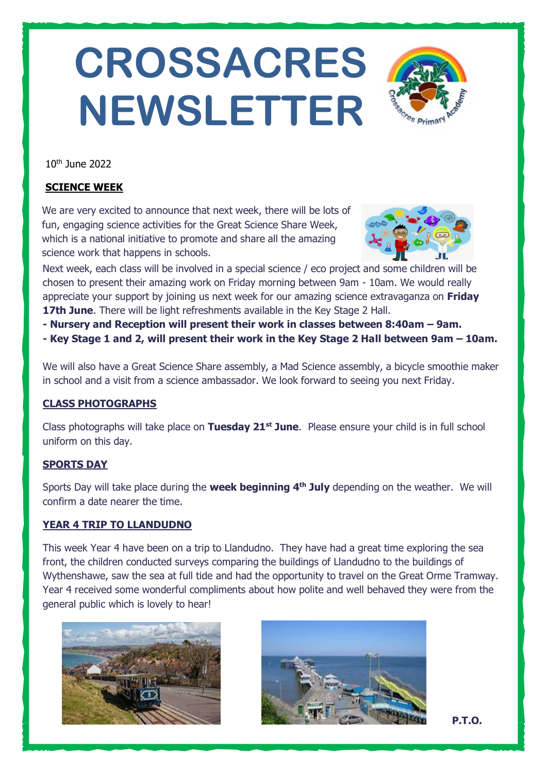# **CROSSACRES NEWSLETTER**



10th June 2022

## **SCIENCE WEEK**

We are very excited to announce that next week, there will be lots of fun, engaging science activities for the Great Science Share Week, which is a national initiative to promote and share all the amazing science work that happens in schools.



Next week, each class will be involved in a special science / eco project and some children will be chosen to present their amazing work on Friday morning between 9am - 10am. We would really appreciate your support by joining us next week for our amazing science extravaganza on **Friday 17th June**. There will be light refreshments available in the Key Stage 2 Hall.

- **- Nursery and Reception will present their work in classes between 8:40am – 9am.**
- **- Key Stage 1 and 2, will present their work in the Key Stage 2 Hall between 9am – 10am.**

We will also have a Great Science Share assembly, a Mad Science assembly, a bicycle smoothie maker in school and a visit from a science ambassador. We look forward to seeing you next Friday.

## **CLASS PHOTOGRAPHS**

Class photographs will take place on **Tuesday 21st June**. Please ensure your child is in full school uniform on this day.

## **SPORTS DAY**

Sports Day will take place during the **week beginning 4th July** depending on the weather. We will confirm a date nearer the time.

## **YEAR 4 TRIP TO LLANDUDNO**

This week Year 4 have been on a trip to Llandudno. They have had a great time exploring the sea front, the children conducted surveys comparing the buildings of Llandudno to the buildings of Wythenshawe, saw the sea at full tide and had the opportunity to travel on the Great Orme Tramway. Year 4 received some wonderful compliments about how polite and well behaved they were from the general public which is lovely to hear!